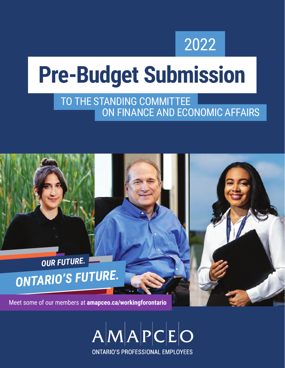## 2022

# **Pre-Budget Submission**

### ON FINANCE AND ECONOMIC AFFAIRS TO THE STANDING COMMITTEE

## *OUR FUTURE. ONTARIO'S FUTURE.*

Meet some of our members at **amapceo.ca/workingforontario**

 $A|M|A|P|C|E|O$ **ONTARIO'S PROFESSIONAL EMPLOYEES**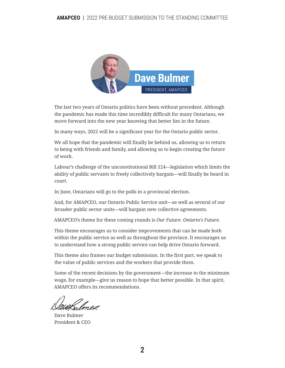

The last two years of Ontario politics have been without precedent. Although the pandemic has made this time incredibly difficult for many Ontarians, we move forward into the new year knowing that better lies in the future.

In many ways, 2022 will be a significant year for the Ontario public sector.

We all hope that the pandemic will finally be behind us, allowing us to return to being with friends and family, and allowing us to begin creating the future of work.

Labour's challenge of the unconstitutional Bill 124—legislation which limits the ability of public servants to freely collectively bargain—will finally be heard in court.

In June, Ontarians will go to the polls in a provincial election.

And, for AMAPCEO, our Ontario Public Service unit—as well as several of our broader public sector units—will bargain new collective agreements.

AMAPCEO's theme for these coming rounds is *Our Future. Ontario's Future.*

This theme encourages us to consider improvements that can be made both within the public service as well as throughout the province. It encourages us to understand how a strong public service can help drive Ontario forward.

This theme also frames our budget submission. In the first part, we speak to the value of public services and the workers that provide them.

Some of the recent decisions by the government—the increase to the minimum wage, for example—give us reason to hope that better possible. In that spirit, AMAPCEO offers its recommendations.

Dave Bulmer President & CEO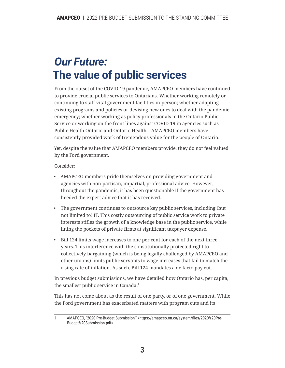## *Our Future:* **The value of public services**

From the outset of the COVID-19 pandemic, AMAPCEO members have continued to provide crucial public services to Ontarians. Whether working remotely or continuing to staff vital government facilities in-person; whether adapting existing programs and policies or devising new ones to deal with the pandemic emergency; whether working as policy professionals in the Ontario Public Service or working on the front lines against COVID-19 in agencies such as Public Health Ontario and Ontario Health—AMAPCEO members have consistently provided work of tremendous value for the people of Ontario.

Yet, despite the value that AMAPCEO members provide, they do not feel valued by the Ford government.

Consider:

- AMAPCEO members pride themselves on providing government and agencies with non-partisan, impartial, professional advice. However, throughout the pandemic, it has been questionable if the government has heeded the expert advice that it has received.
- The government continues to outsource key public services, including (but not limited to) IT. This costly outsourcing of public service work to private interests stifles the growth of a knowledge base in the public service, while lining the pockets of private firms at significant taxpayer expense.
- Bill 124 limits wage increases to one per cent for each of the next three years. This interference with the constitutionally protected right to collectively bargaining (which is being legally challenged by AMAPCEO and other unions) limits public servants to wage increases that fail to match the rising rate of inflation. As such, Bill 124 mandates a de facto pay cut.

In previous budget submissions, we have detailed how Ontario has, per capita, the smallest public service in Canada.1

This has not come about as the result of one party, or of one government. While the Ford government has exacerbated matters with program cuts and its

<sup>1</sup> AMAPCEO, "2020 Pre-Budget Submission," <https://amapceo.on.ca/system/files/2020%20Pre-Budget%20Submission.pdf>.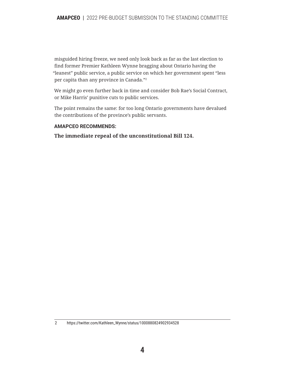misguided hiring freeze, we need only look back as far as the last election to find former Premier Kathleen Wynne bragging about Ontario having the "leanest" public service, a public service on which her government spent "less per capita than any province in Canada."2

We might go even further back in time and consider Bob Rae's Social Contract, or Mike Harris' punitive cuts to public services.

The point remains the same: for too long Ontario governments have devalued the contributions of the province's public servants.

#### **AMAPCEO RECOMMENDS:**

**The immediate repeal of the unconstitutional Bill 124.**

<sup>2</sup> https://twitter.com/Kathleen\_Wynne/status/1000880824902934528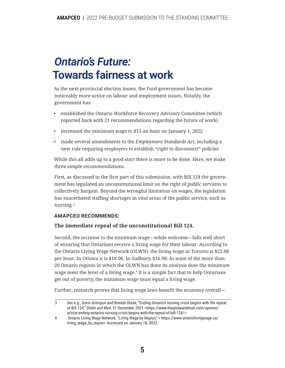### *Ontario's Future:* **Towards fairness at work**

As the next provincial election looms, the Ford government has become noticeably more active on labour and employment issues. Notably, the government has:

- established the Ontario Workforce Recovery Advisory Committee (which reported back with 21 recommendations regarding the future of work)
- increased the minimum wage to \$15 an hour on January 1, 2022
- made several amendments to the *Employment Standards Act*, including a new rule requiring employers to establish "right to disconnect" policies

While this all adds up to a good start there is more to be done. Here, we make three simple recommendations.

First, as discussed in the first part of this submission, with Bill 124 the government has legislated an unconstitutional limit on the right of public servants to collectively bargain. Beyond the wrongful limitation on wages, the legislation has exacerbated staffing shortages in vital areas of the public service, such as nursing.3

#### **AMAPCEO RECOMMENDS:**

#### **The immediate repeal of the unconstitutional Bill 124.**

Second, the increase to the minimum wage—while welcome—falls well short of ensuring that Ontarians receive a living wage for their labour. According to the Ontario Living Wage Network (OLWN), the living wage in Toronto is \$22.08 per hour. In Ottawa it is \$18.06. In Sudbury, \$16.98. In none of the more than 20 Ontario regions in which the OLWN has done its analysis does the minimum wage meet the level of a living wage.<sup>4</sup> It is a simple fact that to help Ontarians get out of poverty, the minimum wage must equal a living wage.

Further, research proves that living wage laws benefit the economy overall—

<sup>3</sup> See e.g., Doris Grinspun and Brenda Stade, "Ending Ontario's nursing crisis begins with the repeal of Bill 124," *Globe and Mail*, 31 December 2021 <https://www.theglobeandmail.com/opinion/ article-ending-ontarios-nursing-crisis-begins-with-the-repeal-of-bill-124/>.

<sup>4</sup>  Ontario Living Wage Network, "Living Wage by Region," < https://www.ontariolivingwage.ca/ living\_wage\_by\_region> Accessed on January 18, 2022.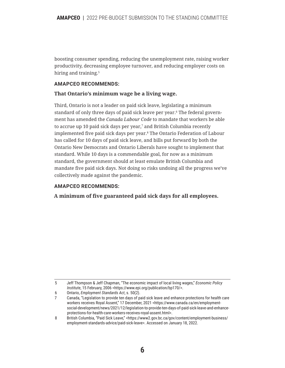boosting consumer spending, reducing the unemployment rate, raising worker productivity, decreasing employee turnover, and reducing employer costs on hiring and training.<sup>5</sup>

#### **AMAPCEO RECOMMENDS:**

#### **That Ontario's minimum wage be a living wage.**

Third, Ontario is not a leader on paid sick leave, legislating a minimum standard of only three days of paid sick leave per year.6 The federal government has amended the *Canada Labour Code* to mandate that workers be able to accrue up 10 paid sick days per year,<sup>7</sup> and British Columbia recently implemented five paid sick days per year.8 The Ontario Federation of Labour has called for 10 days of paid sick leave, and bills put forward by both the Ontario New Democrats and Ontario Liberals have sought to implement that standard. While 10 days is a commendable goal, for now as a minimum standard, the government should at least emulate British Columbia and mandate five paid sick days. Not doing so risks undoing all the progress we've collectively made against the pandemic.

#### **AMAPCEO RECOMMENDS:**

**A minimum of five guaranteed paid sick days for all employees.**

<sup>5</sup> Jeff Thompson & Jeff Chapman, "The economic impact of local living wages," *Economic Policy Institute*, 15 February, 2006 <https://www.epi.org/publication/bp170/>.

<sup>6</sup> Ontario, *Employment Standards Act*, s. 50(2).

<sup>7</sup> Canada, "Legislation to provide ten days of paid sick leave and enhance protections for health care workers receives Royal Assent," 17 December, 2021 <https://www.canada.ca/en/employmentsocial-development/news/2021/12/legislation-to-provide-ten-days-of-paid-sick-leave-and-enhanceprotections-for-health-care-workers-receives-royal-assent.html>.

<sup>8</sup> British Columbia, "Paid Sick Leave," <https://www2.gov.bc.ca/gov/content/employment-business/ employment-standards-advice/paid-sick-leave>. Accessed on January 18, 2022.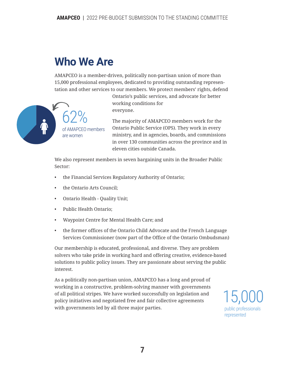## **Who We Are**

AMAPCEO is a member-driven, politically non-partisan union of more than 15,000 professional employees, dedicated to providing outstanding representation and other services to our members. We protect members' rights, defend



Ontario's public services, and advocate for better working conditions for everyone.

The majority of AMAPCEO members work for the Ontario Public Service (OPS). They work in every ministry, and in agencies, boards, and commissions in over 130 communities across the province and in eleven cities outside Canada.

We also represent members in seven bargaining units in the Broader Public Sector:

- the Financial Services Regulatory Authority of Ontario;
- the Ontario Arts Council;
- Ontario Health Quality Unit;
- Public Health Ontario;
- Waypoint Centre for Mental Health Care; and
- the former offices of the Ontario Child Advocate and the French Language Services Commissioner (now part of the Office of the Ontario Ombudsman)

Our membership is educated, professional, and diverse. They are problem solvers who take pride in working hard and offering creative, evidence-based solutions to public policy issues. They are passionate about serving the public interest.

As a politically non-partisan union, AMAPCEO has a long and proud of working in a constructive, problem-solving manner with governments of all political stripes. We have worked successfully on legislation and policy initiatives and negotiated free and fair collective agreements with governments led by all three major parties.

15,000 public professionals represented